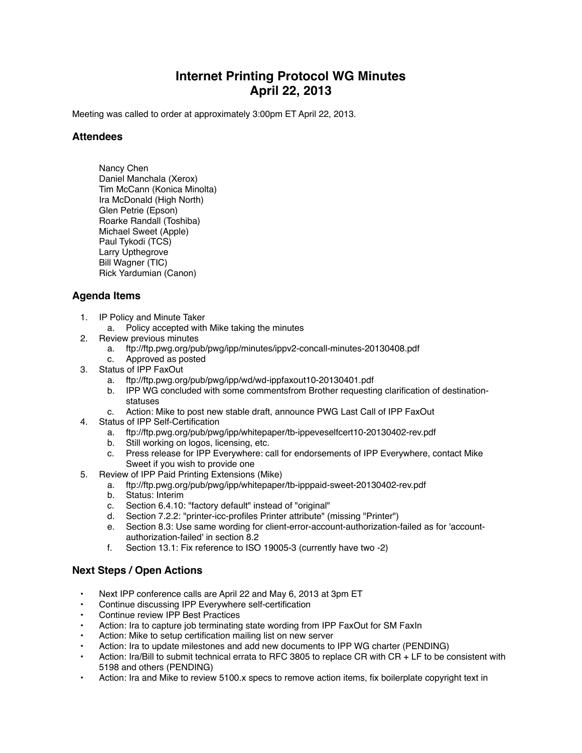## **Internet Printing Protocol WG Minutes April 22, 2013**

Meeting was called to order at approximately 3:00pm ET April 22, 2013.

## **Attendees**

Nancy Chen Daniel Manchala (Xerox) Tim McCann (Konica Minolta) Ira McDonald (High North) Glen Petrie (Epson) Roarke Randall (Toshiba) Michael Sweet (Apple) Paul Tykodi (TCS) Larry Upthegrove Bill Wagner (TIC) Rick Yardumian (Canon)

## **Agenda Items**

- 1. IP Policy and Minute Taker
	- a. Policy accepted with Mike taking the minutes
- 2. Review previous minutes
	- a. ftp://ftp.pwg.org/pub/pwg/ipp/minutes/ippv2-concall-minutes-20130408.pdf
	- c. Approved as posted
- 3. Status of IPP FaxOut
	- a. ftp://ftp.pwg.org/pub/pwg/ipp/wd/wd-ippfaxout10-20130401.pdf
	- b. IPP WG concluded with some commentsfrom Brother requesting clarification of destinationstatuses
	- c. Action: Mike to post new stable draft, announce PWG Last Call of IPP FaxOut
- 4. Status of IPP Self-Certification
	- a. ftp://ftp.pwg.org/pub/pwg/ipp/whitepaper/tb-ippeveselfcert10-20130402-rev.pdf
	- b. Still working on logos, licensing, etc.
	- c. Press release for IPP Everywhere: call for endorsements of IPP Everywhere, contact Mike Sweet if you wish to provide one
- 5. Review of IPP Paid Printing Extensions (Mike)
	- a. ftp://ftp.pwg.org/pub/pwg/ipp/whitepaper/tb-ipppaid-sweet-20130402-rev.pdf
	- b. Status: Interim
	- c. Section 6.4.10: "factory default" instead of "original"
	- d. Section 7.2.2: "printer-icc-profiles Printer attribute" (missing "Printer")
	- e. Section 8.3: Use same wording for client-error-account-authorization-failed as for 'accountauthorization-failed' in section 8.2
	- f. Section 13.1: Fix reference to ISO 19005-3 (currently have two -2)

## **Next Steps / Open Actions**

- Next IPP conference calls are April 22 and May 6, 2013 at 3pm ET
- Continue discussing IPP Everywhere self-certification
- Continue review IPP Best Practices
- Action: Ira to capture job terminating state wording from IPP FaxOut for SM FaxIn
- Action: Mike to setup certification mailing list on new server
- Action: Ira to update milestones and add new documents to IPP WG charter (PENDING)
- Action: Ira/Bill to submit technical errata to RFC 3805 to replace CR with CR + LF to be consistent with 5198 and others (PENDING)
- Action: Ira and Mike to review 5100.x specs to remove action items, fix boilerplate copyright text in